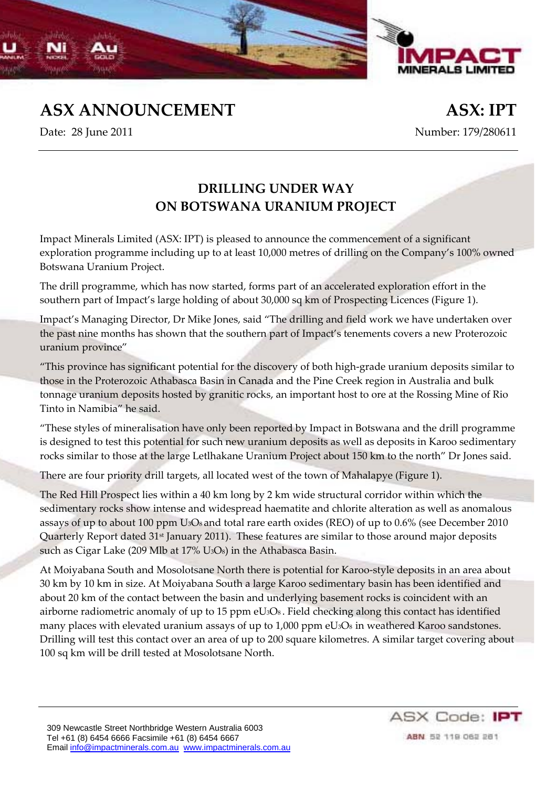

**ASX ANNOUNCEMENT ASX: IPT**

Date: 28 June 2011 Number: 179/280611

## **DRILLING UNDER WAY ON BOTSWANA URANIUM PROJECT**

Impact Minerals Limited (ASX: IPT) is pleased to announce the commencement of a significant exploration programme including up to at least 10,000 metres of drilling on the Company's 100% owned Botswana Uranium Project.

The drill programme, which has now started, forms part of an accelerated exploration effort in the southern part of Impact's large holding of about 30,000 sq km of Prospecting Licences (Figure 1).

Impact's Managing Director, Dr Mike Jones, said "The drilling and field work we have undertaken over the past nine months has shown that the southern part of Impact's tenements covers a new Proterozoic uranium province"

"This province has significant potential for the discovery of both high‐grade uranium deposits similar to those in the Proterozoic Athabasca Basin in Canada and the Pine Creek region in Australia and bulk tonnage uranium deposits hosted by granitic rocks, an important host to ore at the Rossing Mine of Rio Tinto in Namibia" he said.

"These styles of mineralisation have only been reported by Impact in Botswana and the drill programme is designed to test this potential for such new uranium deposits as well as deposits in Karoo sedimentary rocks similar to those at the large Letlhakane Uranium Project about 150 km to the north" Dr Jones said.

There are four priority drill targets, all located west of the town of Mahalapye (Figure 1).

The Red Hill Prospect lies within a 40 km long by 2 km wide structural corridor within which the sedimentary rocks show intense and widespread haematite and chlorite alteration as well as anomalous assays of up to about 100 ppm U<sub>3</sub>O<sub>8</sub> and total rare earth oxides (REO) of up to 0.6% (see December 2010 Quarterly Report dated 31<sup>st</sup> January 2011). These features are similar to those around major deposits such as Cigar Lake (209 Mlb at 17% U3O8) in the Athabasca Basin.

At Moiyabana South and Mosolotsane North there is potential for Karoo‐style deposits in an area about 30 km by 10 km in size. At Moiyabana South a large Karoo sedimentary basin has been identified and about 20 km of the contact between the basin and underlying basement rocks is coincident with an airborne radiometric anomaly of up to 15 ppm  $eU_3O_8$ . Field checking along this contact has identified many places with elevated uranium assays of up to 1,000 ppm eU<sub>3</sub>O<sub>8</sub> in weathered Karoo sandstones. Drilling will test this contact over an area of up to 200 square kilometres. A similar target covering about 100 sq km will be drill tested at Mosolotsane North.

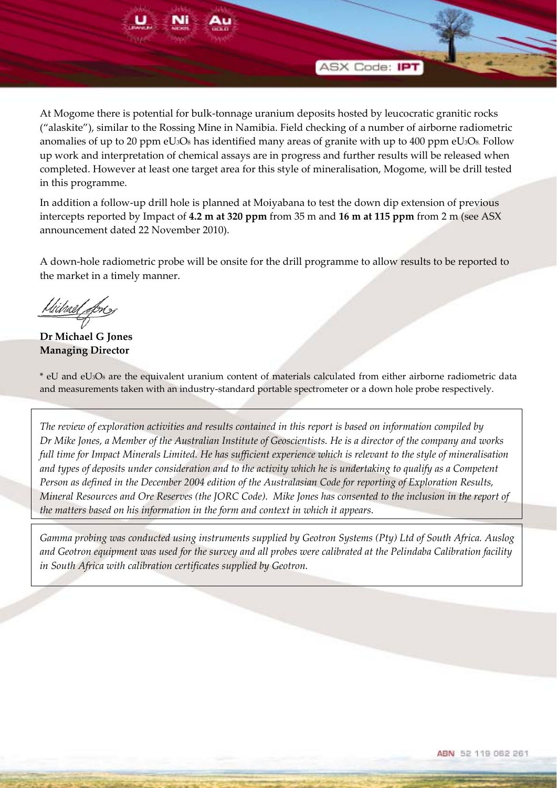

At Mogome there is potential for bulk‐tonnage uranium deposits hosted by leucocratic granitic rocks ("alaskite"), similar to the Rossing Mine in Namibia. Field checking of a number of airborne radiometric anomalies of up to 20 ppm  $eU_3O_8$  has identified many areas of granite with up to 400 ppm  $eU_3O_8$ . Follow up work and interpretation of chemical assays are in progress and further results will be released when completed. However at least one target area for this style of mineralisation, Mogome, will be drill tested in this programme.

In addition a follow‐up drill hole is planned at Moiyabana to test the down dip extension of previous intercepts reported by Impact of **4.2 m at 320 ppm** from 35 m and **16 m at 115 ppm** from 2 m (see ASX announcement dated 22 November 2010).

A down‐hole radiometric probe will be onsite for the drill programme to allow results to be reported to the market in a timely manner.

Ulitrael Lon

**Dr Michael G Jones Managing Director**

\* eU and eU3O8 are the equivalent uranium content of materials calculated from either airborne radiometric data and measurements taken with an industry‐standard portable spectrometer or a down hole probe respectively.

The review of exploration activities and results contained in this report is based on information compiled by Dr Mike Jones, a Member of the Australian Institute of Geoscientists. He is a director of the company and works full time for Impact Minerals Limited. He has sufficient experience which is relevant to the style of mineralisation and types of deposits under consideration and to the activity which he is undertaking to qualify as a Competent Person as defined in the December 2004 edition of the Australasian Code for reporting of Exploration Results, Mineral Resources and Ore Reserves (the JORC Code). Mike Jones has consented to the inclusion in the report of *the matters based on his information in the form and context in which it appears.*

*Gamma probing was conducted using instruments supplied by Geotron Systems (Pty) Ltd of South Africa. Auslog* and Geotron equipment was used for the survey and all probes were calibrated at the Pelindaba Calibration facility *in South Africa with calibration certificates supplied by Geotron.*